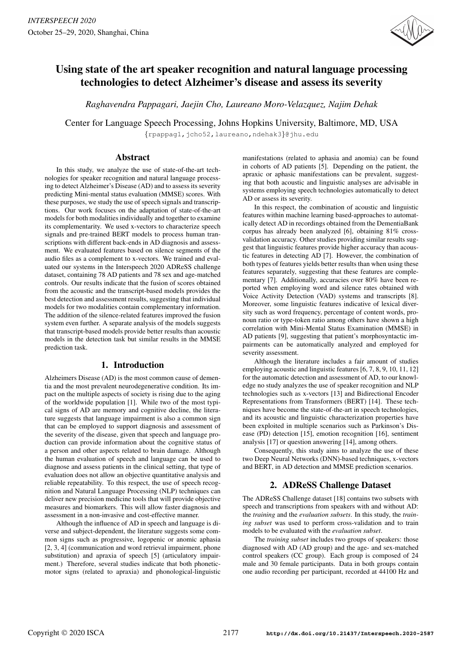

# Using state of the art speaker recognition and natural language processing technologies to detect Alzheimer's disease and assess its severity

*Raghavendra Pappagari, Jaejin Cho, Laureano Moro-Velazquez, Najim Dehak*

Center for Language Speech Processing, Johns Hopkins University, Baltimore, MD, USA

{rpappag1,jcho52,laureano,ndehak3}@jhu.edu

# Abstract

In this study, we analyze the use of state-of-the-art technologies for speaker recognition and natural language processing to detect Alzheimer's Disease (AD) and to assess its severity predicting Mini-mental status evaluation (MMSE) scores. With these purposes, we study the use of speech signals and transcriptions. Our work focuses on the adaptation of state-of-the-art models for both modalities individually and together to examine its complementarity. We used x-vectors to characterize speech signals and pre-trained BERT models to process human transcriptions with different back-ends in AD diagnosis and assessment. We evaluated features based on silence segments of the audio files as a complement to x-vectors. We trained and evaluated our systems in the Interspeech 2020 ADReSS challenge dataset, containing 78 AD patients and 78 sex and age-matched controls. Our results indicate that the fusion of scores obtained from the acoustic and the transcript-based models provides the best detection and assessment results, suggesting that individual models for two modalities contain complementary information. The addition of the silence-related features improved the fusion system even further. A separate analysis of the models suggests that transcript-based models provide better results than acoustic models in the detection task but similar results in the MMSE prediction task.

# 1. Introduction

Alzheimers Disease (AD) is the most common cause of dementia and the most prevalent neurodegenerative condition. Its impact on the multiple aspects of society is rising due to the aging of the worldwide population [1]. While two of the most typical signs of AD are memory and cognitive decline, the literature suggests that language impairment is also a common sign that can be employed to support diagnosis and assessment of the severity of the disease, given that speech and language production can provide information about the cognitive status of a person and other aspects related to brain damage. Although the human evaluation of speech and language can be used to diagnose and assess patients in the clinical setting, that type of evaluation does not allow an objective quantitative analysis and reliable repeatability. To this respect, the use of speech recognition and Natural Language Processing (NLP) techniques can deliver new precision medicine tools that will provide objective measures and biomarkers. This will allow faster diagnosis and assessment in a non-invasive and cost-effective manner.

Although the influence of AD in speech and language is diverse and subject-dependent, the literature suggests some common signs such as progressive, logopenic or anomic aphasia [2, 3, 4] (communication and word retrieval impairment, phone substitution) and apraxia of speech [5] (articulatory impairment.) Therefore, several studies indicate that both phoneticmotor signs (related to apraxia) and phonological-linguistic manifestations (related to aphasia and anomia) can be found in cohorts of AD patients [5]. Depending on the patient, the apraxic or aphasic manifestations can be prevalent, suggesting that both acoustic and linguistic analyses are advisable in systems employing speech technologies automatically to detect AD or assess its severity.

In this respect, the combination of acoustic and linguistic features within machine learning based-approaches to automatically detect AD in recordings obtained from the DementiaBank corpus has already been analyzed [6], obtaining 81% crossvalidation accuracy. Other studies providing similar results suggest that linguistic features provide higher accuracy than acoustic features in detecting AD [7]. However, the combination of both types of features yields better results than when using these features separately, suggesting that these features are complementary [7]. Additionally, accuracies over 80% have been reported when employing word and silence rates obtained with Voice Activity Detection (VAD) systems and transcripts [8]. Moreover, some linguistic features indicative of lexical diversity such as word frequency, percentage of content words, pronoun ratio or type-token ratio among others have shown a high correlation with Mini-Mental Status Examination (MMSE) in AD patients [9], suggesting that patient's morphosyntactic impairments can be automatically analyzed and employed for severity assessment.

Although the literature includes a fair amount of studies employing acoustic and linguistic features [6, 7, 8, 9, 10, 11, 12] for the automatic detection and assessment of AD, to our knowledge no study analyzes the use of speaker recognition and NLP technologies such as x-vectors [13] and Bidirectional Encoder Representations from Transformers (BERT) [14]. These techniques have become the state-of-the-art in speech technologies, and its acoustic and linguistic characterization properties have been exploited in multiple scenarios such as Parkinson's Disease (PD) detection [15], emotion recognition [16], sentiment analysis [17] or question answering [14], among others.

Consequently, this study aims to analyze the use of these two Deep Neural Networks (DNN)-based techniques, x-vectors and BERT, in AD detection and MMSE prediction scenarios.

# 2. ADReSS Challenge Dataset

The ADReSS Challenge dataset [18] contains two subsets with speech and transcriptions from speakers with and without AD: the *training* and the *evaluation subsets*. In this study, the *training subset* was used to perform cross-validation and to train models to be evaluated with the *evaluation subset*.

The *training subset* includes two groups of speakers: those diagnosed with AD (AD group) and the age- and sex-matched control speakers (CC group). Each group is composed of 24 male and 30 female participants. Data in both groups contain one audio recording per participant, recorded at 44100 Hz and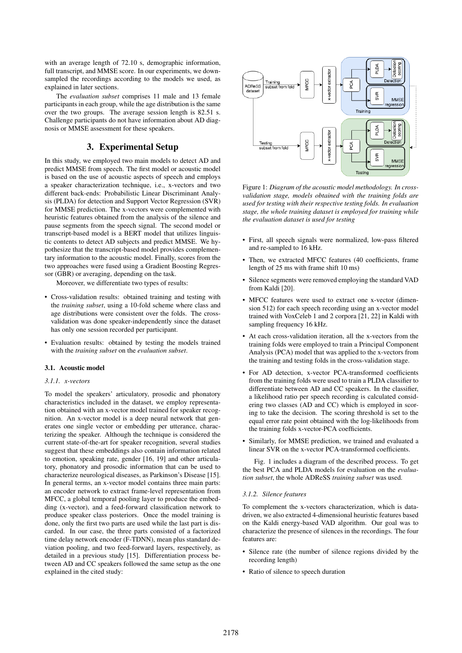with an average length of 72.10 s, demographic information, full transcript, and MMSE score. In our experiments, we downsampled the recordings according to the models we used, as explained in later sections.

The *evaluation subset* comprises 11 male and 13 female participants in each group, while the age distribution is the same over the two groups. The average session length is 82.51 s. Challenge participants do not have information about AD diagnosis or MMSE assessment for these speakers.

## 3. Experimental Setup

In this study, we employed two main models to detect AD and predict MMSE from speech. The first model or acoustic model is based on the use of acoustic aspects of speech and employs a speaker characterization technique, i.e., x-vectors and two different back-ends: Probabilistic Linear Discriminant Analysis (PLDA) for detection and Support Vector Regression (SVR) for MMSE prediction. The x-vectors were complemented with heuristic features obtained from the analysis of the silence and pause segments from the speech signal. The second model or transcript-based model is a BERT model that utilizes linguistic contents to detect AD subjects and predict MMSE. We hypothesize that the transcript-based model provides complementary information to the acoustic model. Finally, scores from the two approaches were fused using a Gradient Boosting Regressor (GBR) or averaging, depending on the task.

Moreover, we differentiate two types of results:

- Cross-validation results: obtained training and testing with the *training subset*, using a 10-fold scheme where class and age distributions were consistent over the folds. The crossvalidation was done speaker-independently since the dataset has only one session recorded per participant.
- Evaluation results: obtained by testing the models trained with the *training subset* on the *evaluation subset*.

#### 3.1. Acoustic model

#### *3.1.1. x-vectors*

To model the speakers' articulatory, prosodic and phonatory characteristics included in the dataset, we employ representation obtained with an x-vector model trained for speaker recognition. An x-vector model is a deep neural network that generates one single vector or embedding per utterance, characterizing the speaker. Although the technique is considered the current state-of-the-art for speaker recognition, several studies suggest that these embeddings also contain information related to emotion, speaking rate, gender [16, 19] and other articulatory, phonatory and prosodic information that can be used to characterize neurological diseases, as Parkinson's Disease [15]. In general terms, an x-vector model contains three main parts: an encoder network to extract frame-level representation from MFCC, a global temporal pooling layer to produce the embedding (x-vector), and a feed-forward classification network to produce speaker class posteriors. Once the model training is done, only the first two parts are used while the last part is discarded. In our case, the three parts consisted of a factorized time delay network encoder (F-TDNN), mean plus standard deviation pooling, and two feed-forward layers, respectively, as detailed in a previous study [15]. Differentiation process between AD and CC speakers followed the same setup as the one explained in the cited study:



Figure 1: *Diagram of the acoustic model methodology. In crossvalidation stage, models obtained with the training folds are used for testing with their respective testing folds. In evaluation stage, the whole training dataset is employed for training while the evaluation dataset is used for testing*

- First, all speech signals were normalized, low-pass filtered and re-sampled to 16 kHz.
- Then, we extracted MFCC features (40 coefficients, frame length of 25 ms with frame shift 10 ms)
- Silence segments were removed employing the standard VAD from Kaldi [20].
- MFCC features were used to extract one x-vector (dimension 512) for each speech recording using an x-vector model trained with VoxCeleb 1 and 2 corpora [21, 22] in Kaldi with sampling frequency 16 kHz.
- At each cross-validation iteration, all the x-vectors from the training folds were employed to train a Principal Component Analysis (PCA) model that was applied to the x-vectors from the training and testing folds in the cross-validation stage.
- For AD detection, x-vector PCA-transformed coefficients from the training folds were used to train a PLDA classifier to differentiate between AD and CC speakers. In the classifier, a likelihood ratio per speech recording is calculated considering two classes (AD and CC) which is employed in scoring to take the decision. The scoring threshold is set to the equal error rate point obtained with the log-likelihoods from the training folds x-vector-PCA coefficients.
- Similarly, for MMSE prediction, we trained and evaluated a linear SVR on the x-vector PCA-transformed coefficients.

Fig. 1 includes a diagram of the described process. To get the best PCA and PLDA models for evaluation on the *evaluation subset*, the whole ADReSS *training subset* was used.

#### *3.1.2. Silence features*

To complement the x-vectors characterization, which is datadriven, we also extracted 4-dimensional heuristic features based on the Kaldi energy-based VAD algorithm. Our goal was to characterize the presence of silences in the recordings. The four features are:

- Silence rate (the number of silence regions divided by the recording length)
- Ratio of silence to speech duration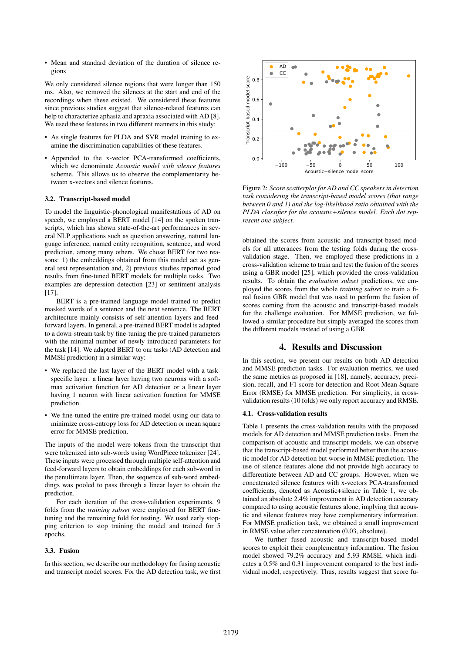• Mean and standard deviation of the duration of silence regions

We only considered silence regions that were longer than 150 ms. Also, we removed the silences at the start and end of the recordings when these existed. We considered these features since previous studies suggest that silence-related features can help to characterize aphasia and apraxia associated with AD [8]. We used these features in two different manners in this study:

- As single features for PLDA and SVR model training to examine the discrimination capabilities of these features.
- Appended to the x-vector PCA-transformed coefficients, which we denominate *Acoustic model with silence features* scheme. This allows us to observe the complementarity between x-vectors and silence features.

#### 3.2. Transcript-based model

To model the linguistic-phonological manifestations of AD on speech, we employed a BERT model [14] on the spoken transcripts, which has shown state-of-the-art performances in several NLP applications such as question answering, natural language inference, named entity recognition, sentence, and word prediction, among many others. We chose BERT for two reasons: 1) the embeddings obtained from this model act as general text representation and, 2) previous studies reported good results from fine-tuned BERT models for multiple tasks. Two examples are depression detection [23] or sentiment analysis [17].

BERT is a pre-trained language model trained to predict masked words of a sentence and the next sentence. The BERT architecture mainly consists of self-attention layers and feedforward layers. In general, a pre-trained BERT model is adapted to a down-stream task by fine-tuning the pre-trained parameters with the minimal number of newly introduced parameters for the task [14]. We adapted BERT to our tasks (AD detection and MMSE prediction) in a similar way:

- We replaced the last layer of the BERT model with a taskspecific layer: a linear layer having two neurons with a softmax activation function for AD detection or a linear layer having 1 neuron with linear activation function for MMSE prediction.
- We fine-tuned the entire pre-trained model using our data to minimize cross-entropy loss for AD detection or mean square error for MMSE prediction.

The inputs of the model were tokens from the transcript that were tokenized into sub-words using WordPiece tokenizer [24]. These inputs were processed through multiple self-attention and feed-forward layers to obtain embeddings for each sub-word in the penultimate layer. Then, the sequence of sub-word embeddings was pooled to pass through a linear layer to obtain the prediction.

For each iteration of the cross-validation experiments, 9 folds from the *training subset* were employed for BERT finetuning and the remaining fold for testing. We used early stopping criterion to stop training the model and trained for 5 epochs.

#### 3.3. Fusion

In this section, we describe our methodology for fusing acoustic and transcript model scores. For the AD detection task, we first



Figure 2: *Score scatterplot for AD and CC speakers in detection task considering the transcript-based model scores (that range between 0 and 1) and the log-likelihood ratio obtained with the PLDA classifier for the acoustic+silence model. Each dot represent one subject.*

obtained the scores from acoustic and transcript-based models for all utterances from the testing folds during the crossvalidation stage. Then, we employed these predictions in a cross-validation scheme to train and test the fusion of the scores using a GBR model [25], which provided the cross-validation results. To obtain the *evaluation subset* predictions, we employed the scores from the whole *training subset* to train a final fusion GBR model that was used to perform the fusion of scores coming from the acoustic and transcript-based models for the challenge evaluation. For MMSE prediction, we followed a similar procedure but simply averaged the scores from the different models instead of using a GBR.

### 4. Results and Discussion

In this section, we present our results on both AD detection and MMSE prediction tasks. For evaluation metrics, we used the same metrics as proposed in [18], namely, accuracy, precision, recall, and F1 score for detection and Root Mean Square Error (RMSE) for MMSE prediction. For simplicity, in crossvalidation results (10 folds) we only report accuracy and RMSE.

#### 4.1. Cross-validation results

Table 1 presents the cross-validation results with the proposed models for AD detection and MMSE prediction tasks. From the comparison of acoustic and transcript models, we can observe that the transcript-based model performed better than the acoustic model for AD detection but worse in MMSE prediction. The use of silence features alone did not provide high accuracy to differentiate between AD and CC groups. However, when we concatenated silence features with x-vectors PCA-transformed coefficients, denoted as Acoustic+silence in Table 1, we obtained an absolute 2.4% improvement in AD detection accuracy compared to using acoustic features alone, implying that acoustic and silence features may have complementary information. For MMSE prediction task, we obtained a small improvement in RMSE value after concatenation (0.03, absolute).

We further fused acoustic and transcript-based model scores to exploit their complementary information. The fusion model showed 79.2% accuracy and 5.93 RMSE, which indicates a 0.5% and 0.31 improvement compared to the best individual model, respectively. Thus, results suggest that score fu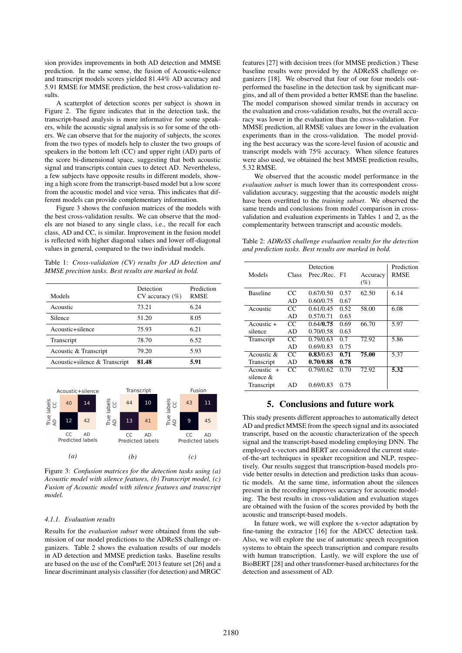sion provides improvements in both AD detection and MMSE prediction. In the same sense, the fusion of Acoustic+silence and transcript models scores yielded 81.44% AD accuracy and 5.91 RMSE for MMSE prediction, the best cross-validation results.

A scatterplot of detection scores per subject is shown in Figure 2. The figure indicates that in the detection task, the transcript-based analysis is more informative for some speakers, while the acoustic signal analysis is so for some of the others. We can observe that for the majority of subjects, the scores from the two types of models help to cluster the two groups of speakers in the bottom left (CC) and upper right (AD) parts of the score bi-dimensional space, suggesting that both acoustic signal and transcripts contain cues to detect AD. Nevertheless, a few subjects have opposite results in different models, showing a high score from the transcript-based model but a low score from the acoustic model and vice versa. This indicates that different models can provide complementary information.

Figure 3 shows the confusion matrices of the models with the best cross-validation results. We can observe that the models are not biased to any single class, i.e., the recall for each class, AD and CC, is similar. Improvement in the fusion model is reflected with higher diagonal values and lower off-diagonal values in general, compared to the two individual models.

Table 1: *Cross-validation (CV) results for AD detection and MMSE precition tasks. Best results are marked in bold.*

| Models                        | Detection<br>$CV$ accuracy $(\%)$ | Prediction<br><b>RMSE</b> |
|-------------------------------|-----------------------------------|---------------------------|
| Acoustic                      | 73.21                             | 6.24                      |
| Silence                       | 51.20                             | 8.05                      |
| Acoustic+silence              | 75.93                             | 6.21                      |
| Transcript                    | 78.70                             | 6.52                      |
| Acoustic & Transcript         | 79.20                             | 5.93                      |
| Acoustic+silence & Transcript | 81.48                             | 5.91                      |



Figure 3: *Confusion matrices for the detection tasks using (a) Acoustic model with silence features, (b) Transcript model, (c) Fusion of Acoustic model with silence features and transcript model.*

#### *4.1.1. Evaluation results*

Results for the *evaluation subset* were obtained from the submission of our model predictions to the ADReSS challenge organizers. Table 2 shows the evaluation results of our models in AD detection and MMSE prediction tasks. Baseline results are based on the use of the ComParE 2013 feature set [26] and a linear discriminant analysis classifier (for detection) and MRGC features [27] with decision trees (for MMSE prediction.) These baseline results were provided by the ADReSS challenge organizers [18]. We observed that four of our four models outperformed the baseline in the detection task by significant margins, and all of them provided a better RMSE than the baseline. The model comparison showed similar trends in accuracy on the evaluation and cross-validation results, but the overall accuracy was lower in the evaluation than the cross-validation. For MMSE prediction, all RMSE values are lower in the evaluation experiments than in the cross-validation. The model providing the best accuracy was the score-level fusion of acoustic and transcript models with 75% accuracy. When silence features were also used, we obtained the best MMSE prediction results, 5.32 RMSE.

We observed that the acoustic model performance in the *evaluation subset* is much lower than its correspondent crossvalidation accuracy, suggesting that the acoustic models might have been overfitted to the *training subset*. We observed the same trends and conclusions from model comparison in crossvalidation and evaluation experiments in Tables 1 and 2, as the complementarity between transcript and acoustic models.

Table 2: *ADReSS challenge evaluation results for the detection and prediction tasks. Best results are marked in bold.*

| Models          | Class | Detection<br>Prec./Rec. F1 |      | Accuracy<br>$(\%)$ | Prediction<br><b>RMSE</b> |
|-----------------|-------|----------------------------|------|--------------------|---------------------------|
| <b>Baseline</b> | CC    | 0.67/0.50                  | 0.57 | 62.50              | 6.14                      |
|                 | AD    | 0.60/0.75                  | 0.67 |                    |                           |
| Acoustic        | CC    | 0.61/0.45                  | 0.52 | 58.00              | 6.08                      |
|                 | AD    | 0.57/0.71                  | 0.63 |                    |                           |
| $A$ coustic $+$ | CC.   | 0.64/0.75                  | 0.69 | 66.70              | 5.97                      |
| silence         | AD    | 0.70/0.58                  | 0.63 |                    |                           |
| Transcript      | CC    | 0.79/0.63                  | 0.7  | 72.92              | 5.86                      |
|                 | AD    | 0.69/0.83                  | 0.75 |                    |                           |
| Acoustic $\&$   | CC.   | 0.83/0.63                  | 0.71 | 75.00              | 5.37                      |
| Transcript      | AD    | 0.70/0.88                  | 0.78 |                    |                           |
| Acoustic $+$    | CC.   | 0.79/0.62                  | 0.70 | 72.92              | 5.32                      |
| silence &       |       |                            |      |                    |                           |
| Transcript      | AD    | 0.69/0.83                  | 0.75 |                    |                           |
|                 |       |                            |      |                    |                           |

### 5. Conclusions and future work

This study presents different approaches to automatically detect AD and predict MMSE from the speech signal and its associated transcript, based on the acoustic characterization of the speech signal and the transcript-based modeling employing DNN. The employed x-vectors and BERT are considered the current stateof-the-art techniques in speaker recognition and NLP, respectively. Our results suggest that transcription-based models provide better results in detection and prediction tasks than acoustic models. At the same time, information about the silences present in the recording improves accuracy for acoustic modeling. The best results in cross-validation and evaluation stages are obtained with the fusion of the scores provided by both the acoustic and transcript-based models.

In future work, we will explore the x-vector adaptation by fine-tuning the extractor [16] for the AD/CC detection task. Also, we will explore the use of automatic speech recognition systems to obtain the speech transcription and compare results with human transcription. Lastly, we will explore the use of BioBERT [28] and other transformer-based architectures for the detection and assessment of AD.